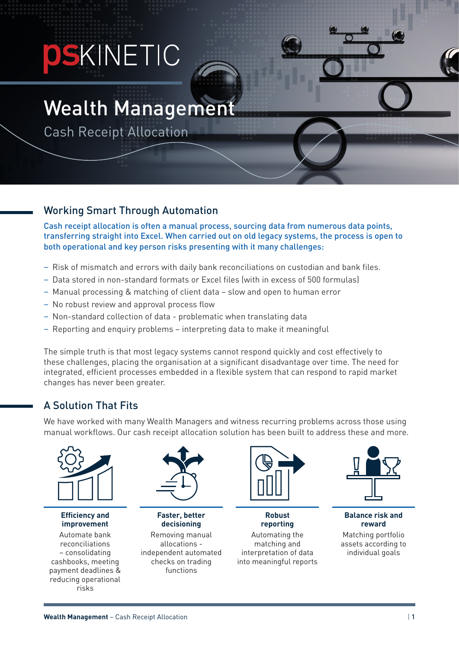# **PSKINETIC**

## Wealth Managemen

Cash Receipt Allocation

#### Working Smart Through Automation

Cash receipt allocation is often a manual process, sourcing data from numerous data points, transferring straight into Excel. When carried out on old legacy systems, the process is open to both operational and key person risks presenting with it many challenges:

- Risk of mismatch and errors with daily bank reconciliations on custodian and bank files.
- Data stored in non-standard formats or Excel files (with in excess of 500 formulas)
- Manual processing & matching of client data slow and open to human error
- No robust review and approval process flow
- Non-standard collection of data problematic when translating data
- Reporting and enquiry problems interpreting data to make it meaningful

The simple truth is that most legacy systems cannot respond quickly and cost effectively to these challenges, placing the organisation at a significant disadvantage over time. The need for integrated, efficient processes embedded in a flexible system that can respond to rapid market changes has never been greater.

#### A Solution That Fits

We have worked with many Wealth Managers and witness recurring problems across those using manual workflows. Our cash receipt allocation solution has been built to address these and more.



**Efficiency and improvement** Automate bank

reconciliations – consolidating cashbooks, meeting payment deadlines & reducing operational risks



**Faster, better decisioning** Removing manual allocations independent automated checks on trading functions



**Robust reporting** Automating the matching and interpretation of data into meaningful reports



**Balance risk and reward** Matching portfolio assets according to individual goals